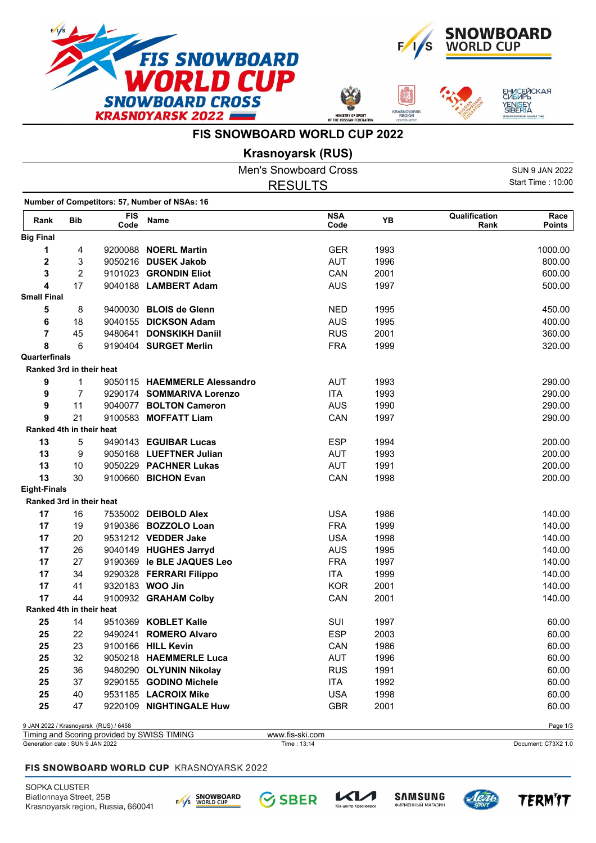







## **FIS SNOWBOARD WORLD CUP 2022**

**Krasnoyarsk (RUS)**

|                                 |                |                                       |                                               | <b>Men's Snowboard Cross</b>   |      |                       | <b>SUN 9 JAN 2022</b> |  |
|---------------------------------|----------------|---------------------------------------|-----------------------------------------------|--------------------------------|------|-----------------------|-----------------------|--|
|                                 |                |                                       |                                               | <b>RESULTS</b>                 |      |                       |                       |  |
|                                 |                |                                       | Number of Competitors: 57, Number of NSAs: 16 |                                |      |                       |                       |  |
| Rank                            | <b>Bib</b>     | <b>FIS</b><br>Code                    | Name                                          | <b>NSA</b><br>Code             | YB   | Qualification<br>Rank | Race<br><b>Points</b> |  |
| <b>Big Final</b>                |                |                                       |                                               |                                |      |                       |                       |  |
| 1                               | 4              |                                       | 9200088 <b>NOERL Martin</b>                   | <b>GER</b>                     | 1993 |                       | 1000.00               |  |
| $\mathbf 2$                     | 3              |                                       | 9050216 DUSEK Jakob                           | <b>AUT</b>                     | 1996 |                       | 800.00                |  |
| 3                               | $\overline{c}$ |                                       | 9101023 GRONDIN Eliot                         | CAN                            | 2001 |                       | 600.00                |  |
| 4                               | 17             |                                       | 9040188 LAMBERT Adam                          | <b>AUS</b>                     | 1997 |                       | 500.00                |  |
| <b>Small Final</b>              |                |                                       |                                               |                                |      |                       |                       |  |
| 5                               | 8              |                                       | 9400030 BLOIS de Glenn                        | <b>NED</b>                     | 1995 |                       | 450.00                |  |
| 6                               | 18             |                                       | 9040155 DICKSON Adam                          | <b>AUS</b>                     | 1995 |                       | 400.00                |  |
| $\overline{\mathbf{r}}$         | 45             |                                       | 9480641 DONSKIKH Daniil                       | <b>RUS</b>                     | 2001 |                       | 360.00                |  |
| 8                               | 6              |                                       | 9190404 SURGET Merlin                         | <b>FRA</b>                     | 1999 |                       | 320.00                |  |
| Quarterfinals                   |                |                                       |                                               |                                |      |                       |                       |  |
| Ranked 3rd in their heat        |                |                                       |                                               |                                |      |                       |                       |  |
| 9                               | 1              |                                       | 9050115 HAEMMERLE Alessandro                  | <b>AUT</b>                     | 1993 |                       | 290.00                |  |
| 9                               | $\overline{7}$ |                                       | 9290174 SOMMARIVA Lorenzo                     | <b>ITA</b>                     | 1993 |                       | 290.00                |  |
| 9                               | 11             |                                       | 9040077 BOLTON Cameron                        | <b>AUS</b>                     | 1990 |                       | 290.00                |  |
| 9                               | 21             |                                       | 9100583 MOFFATT Liam                          | CAN                            | 1997 |                       | 290.00                |  |
| Ranked 4th in their heat        |                |                                       |                                               |                                |      |                       |                       |  |
| 13                              | 5              |                                       | 9490143 EGUIBAR Lucas                         | <b>ESP</b>                     | 1994 |                       | 200.00                |  |
| 13                              | 9              |                                       | 9050168 LUEFTNER Julian                       | <b>AUT</b>                     | 1993 |                       | 200.00                |  |
| 13                              | 10             |                                       | 9050229 PACHNER Lukas                         | <b>AUT</b>                     | 1991 |                       | 200.00                |  |
| 13                              | 30             |                                       | 9100660 BICHON Evan                           | CAN                            | 1998 |                       | 200.00                |  |
| <b>Eight-Finals</b>             |                |                                       |                                               |                                |      |                       |                       |  |
| Ranked 3rd in their heat        |                |                                       |                                               |                                |      |                       |                       |  |
| 17                              | 16             |                                       | 7535002 DEIBOLD Alex                          | <b>USA</b>                     | 1986 |                       | 140.00                |  |
| 17                              | 19             |                                       | 9190386 BOZZOLO Loan                          | <b>FRA</b>                     | 1999 |                       | 140.00                |  |
| 17                              | 20             |                                       | 9531212 VEDDER Jake                           | <b>USA</b>                     | 1998 |                       | 140.00                |  |
| 17                              | 26             |                                       | 9040149 HUGHES Jarryd                         | <b>AUS</b>                     | 1995 |                       | 140.00                |  |
| 17                              | 27             |                                       | 9190369 le BLE JAQUES Leo                     | <b>FRA</b>                     | 1997 |                       | 140.00                |  |
| 17                              | 34             |                                       | 9290328 FERRARI Filippo                       | <b>ITA</b>                     | 1999 |                       | 140.00                |  |
| 17                              | 41             |                                       | 9320183 WOO Jin                               | <b>KOR</b>                     | 2001 |                       | 140.00                |  |
| 17                              | 44             |                                       | 9100932 GRAHAM Colby                          | CAN                            | 2001 |                       | 140.00                |  |
| Ranked 4th in their heat        |                |                                       |                                               |                                |      |                       |                       |  |
| 25                              | 14             |                                       | 9510369 KOBLET Kalle                          | SUI                            | 1997 |                       | 60.00                 |  |
| 25                              | 22             |                                       | 9490241 ROMERO Alvaro                         | <b>ESP</b>                     | 2003 |                       | 60.00                 |  |
| 25                              | 23             |                                       | 9100166 HILL Kevin                            | CAN                            | 1986 |                       | 60.00                 |  |
| 25                              | 32             |                                       | 9050218 HAEMMERLE Luca                        | <b>AUT</b>                     | 1996 |                       | 60.00                 |  |
| 25                              | 36             |                                       | 9480290 OLYUNIN Nikolay                       | <b>RUS</b>                     | 1991 |                       | 60.00                 |  |
| 25                              | 37             |                                       | 9290155 GODINO Michele                        | <b>ITA</b>                     | 1992 |                       | 60.00                 |  |
| 25                              | 40             |                                       | 9531185 LACROIX Mike                          | <b>USA</b>                     | 1998 |                       | 60.00                 |  |
| 25                              | 47             |                                       | 9220109 NIGHTINGALE Huw                       | <b>GBR</b>                     | 2001 |                       | 60.00                 |  |
|                                 |                | 9 JAN 2022 / Krasnoyarsk (RUS) / 6458 |                                               |                                |      |                       | Page 1/3              |  |
| Generation date: SUN 9 JAN 2022 |                |                                       | Timing and Scoring provided by SWISS TIMING   | www.fis-ski.com<br>Time: 13:14 |      |                       | Document: C73X2 1.0   |  |
|                                 |                |                                       |                                               |                                |      |                       |                       |  |

## FIS SNOWBOARD WORLD CUP KRASNOYARSK 2022

SOPKA CLUSTER Biatlonnaya Street, 25B Krasnoyarsk region, Russia, 660041









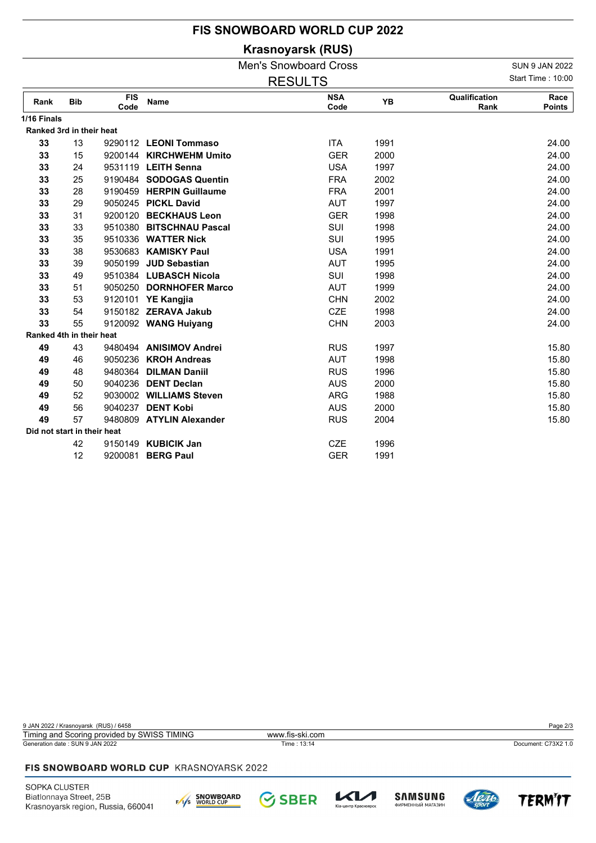## **FIS SNOWBOARD WORLD CUP 2022**

**Krasnoyarsk (RUS)**

|                             |            |                    |                          | <b>Men's Snowboard Cross</b> |      |                       | <b>SUN 9 JAN 2022</b> |
|-----------------------------|------------|--------------------|--------------------------|------------------------------|------|-----------------------|-----------------------|
|                             |            |                    |                          | <b>RESULTS</b>               |      |                       | Start Time: 10:00     |
| Rank                        | <b>Bib</b> | <b>FIS</b><br>Code | Name                     | <b>NSA</b><br>Code           | YB   | Qualification<br>Rank | Race<br><b>Points</b> |
| 1/16 Finals                 |            |                    |                          |                              |      |                       |                       |
| Ranked 3rd in their heat    |            |                    |                          |                              |      |                       |                       |
| 33                          | 13         |                    | 9290112 LEONI Tommaso    | <b>ITA</b>                   | 1991 |                       | 24.00                 |
| 33                          | 15         |                    | 9200144 KIRCHWEHM Umito  | <b>GER</b>                   | 2000 |                       | 24.00                 |
| 33                          | 24         |                    | 9531119 LEITH Senna      | <b>USA</b>                   | 1997 |                       | 24.00                 |
| 33                          | 25         |                    | 9190484 SODOGAS Quentin  | <b>FRA</b>                   | 2002 |                       | 24.00                 |
| 33                          | 28         |                    | 9190459 HERPIN Guillaume | <b>FRA</b>                   | 2001 |                       | 24.00                 |
| 33                          | 29         |                    | 9050245 PICKL David      | <b>AUT</b>                   | 1997 |                       | 24.00                 |
| 33                          | 31         |                    | 9200120 BECKHAUS Leon    | <b>GER</b>                   | 1998 |                       | 24.00                 |
| 33                          | 33         |                    | 9510380 BITSCHNAU Pascal | SUI                          | 1998 |                       | 24.00                 |
| 33                          | 35         |                    | 9510336 WATTER Nick      | SUI                          | 1995 |                       | 24.00                 |
| 33                          | 38         |                    | 9530683 KAMISKY Paul     | <b>USA</b>                   | 1991 |                       | 24.00                 |
| 33                          | 39         |                    | 9050199 JUD Sebastian    | <b>AUT</b>                   | 1995 |                       | 24.00                 |
| 33                          | 49         |                    | 9510384 LUBASCH Nicola   | SUI                          | 1998 |                       | 24.00                 |
| 33                          | 51         |                    | 9050250 DORNHOFER Marco  | <b>AUT</b>                   | 1999 |                       | 24.00                 |
| 33                          | 53         |                    | 9120101 YE Kangjia       | <b>CHN</b>                   | 2002 |                       | 24.00                 |
| 33                          | 54         |                    | 9150182 ZERAVA Jakub     | <b>CZE</b>                   | 1998 |                       | 24.00                 |
| 33                          | 55         |                    | 9120092 WANG Huiyang     | <b>CHN</b>                   | 2003 |                       | 24.00                 |
| Ranked 4th in their heat    |            |                    |                          |                              |      |                       |                       |
| 49                          | 43         |                    | 9480494 ANISIMOV Andrei  | <b>RUS</b>                   | 1997 |                       | 15.80                 |
| 49                          | 46         |                    | 9050236 KROH Andreas     | <b>AUT</b>                   | 1998 |                       | 15.80                 |
| 49                          | 48         |                    | 9480364 DILMAN Daniil    | <b>RUS</b>                   | 1996 |                       | 15.80                 |
| 49                          | 50         |                    | 9040236 DENT Declan      | <b>AUS</b>                   | 2000 |                       | 15.80                 |
| 49                          | 52         |                    | 9030002 WILLIAMS Steven  | <b>ARG</b>                   | 1988 |                       | 15.80                 |
| 49                          | 56         |                    | 9040237 DENT Kobi        | <b>AUS</b>                   | 2000 |                       | 15.80                 |
| 49                          | 57         |                    | 9480809 ATYLIN Alexander | <b>RUS</b>                   | 2004 |                       | 15.80                 |
| Did not start in their heat |            |                    |                          |                              |      |                       |                       |
|                             | 42         |                    | 9150149 KUBICIK Jan      | <b>CZE</b>                   | 1996 |                       |                       |
|                             | 12         | 9200081            | <b>BERG Paul</b>         | <b>GER</b>                   | 1991 |                       |                       |

9 JAN 2022 / Krasnoyarsk (RUS) / 6458 Page 2/3 Generation date : SUN 9 JAN 2022 Time : 13:14 Document: C73X2 1.0 Timing and Scoring provided by SWISS TIMING www.fis-ski.com

## FIS SNOWBOARD WORLD CUP KRASNOYARSK 2022